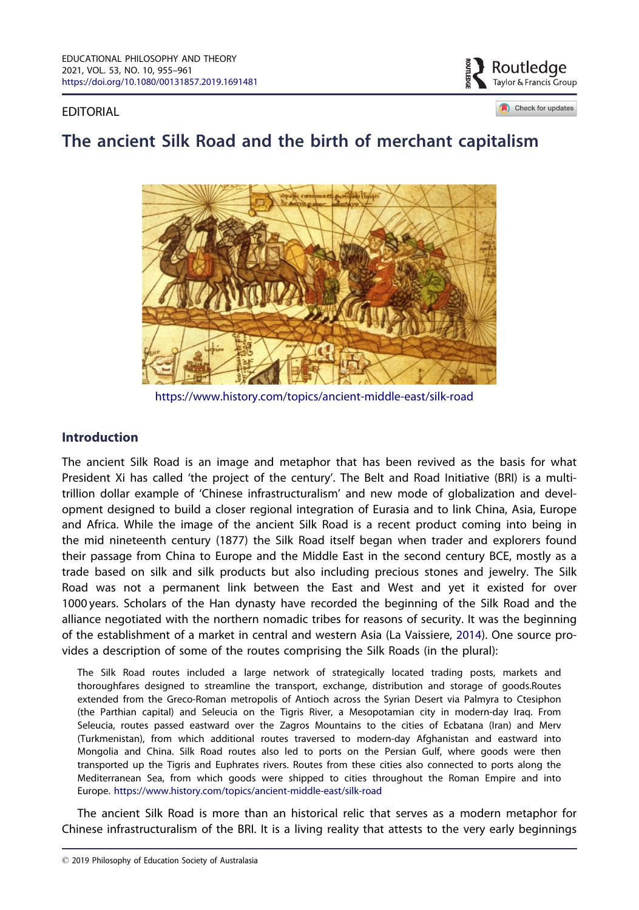<span id="page-0-0"></span>EDITORIAL



Check for updates

# The ancient Silk Road and the birth of merchant capitalism



<https://www.history.com/topics/ancient-middle-east/silk-road>

## **Introduction**

The ancient Silk Road is an image and metaphor that has been revived as the basis for what President Xi has called 'the project of the century'. The Belt and Road Initiative (BRI) is a multitrillion dollar example of 'Chinese infrastructuralism' and new mode of globalization and development designed to build a closer regional integration of Eurasia and to link China, Asia, Europe and Africa. While the image of the ancient Silk Road is a recent product coming into being in the mid nineteenth century (1877) the Silk Road itself began when trader and explorers found their passage from China to Europe and the Middle East in the second century BCE, mostly as a trade based on silk and silk products but also including precious stones and jewelry. The Silk Road was not a permanent link between the East and West and yet it existed for over 1000 years. Scholars of the Han dynasty have recorded the beginning of the Silk Road and the alliance negotiated with the northern nomadic tribes for reasons of security. It was the beginning of the establishment of a market in central and western Asia (La Vaissiere, [2014\)](#page-6-0). One source provides a description of some of the routes comprising the Silk Roads (in the plural):

The Silk Road routes included a large network of strategically located trading posts, markets and thoroughfares designed to streamline the transport, exchange, distribution and storage of goods.Routes extended from the Greco-Roman metropolis of Antioch across the Syrian Desert via Palmyra to Ctesiphon (the Parthian capital) and Seleucia on the Tigris River, a Mesopotamian city in modern-day Iraq. From Seleucia, routes passed eastward over the Zagros Mountains to the cities of Ecbatana (Iran) and Merv (Turkmenistan), from which additional routes traversed to modern-day Afghanistan and eastward into Mongolia and China. Silk Road routes also led to ports on the Persian Gulf, where goods were then transported up the Tigris and Euphrates rivers. Routes from these cities also connected to ports along the Mediterranean Sea, from which goods were shipped to cities throughout the Roman Empire and into Europe. <https://www.history.com/topics/ancient-middle-east/silk-road>

The ancient Silk Road is more than an historical relic that serves as a modern metaphor for Chinese infrastructuralism of the BRI. It is a living reality that attests to the very early beginnings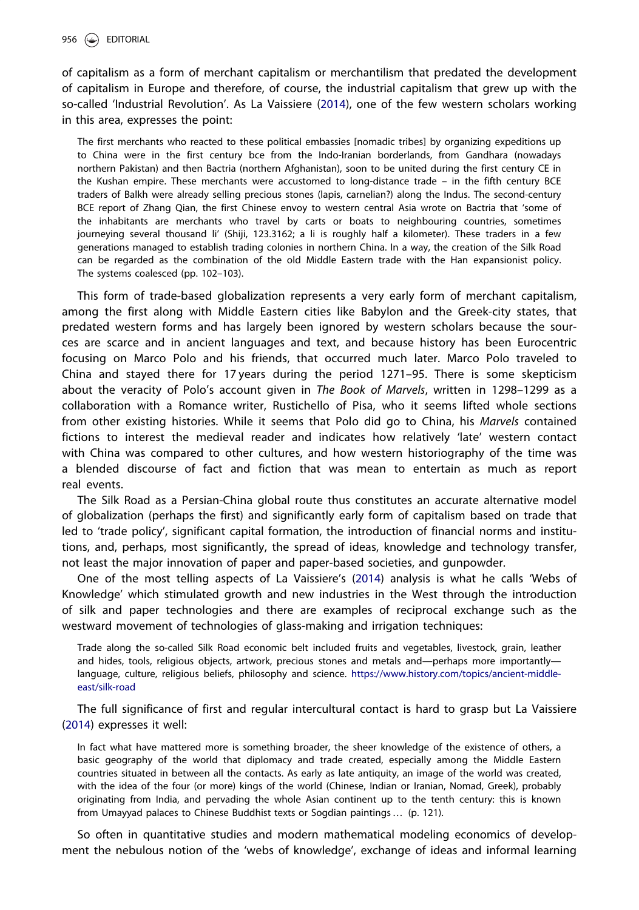of capitalism as a form of merchant capitalism or merchantilism that predated the development of capitalism in Europe and therefore, of course, the industrial capitalism that grew up with the so-called 'Industrial Revolution'. As La Vaissiere ([2014](#page-6-0)), one of the few western scholars working in this area, expresses the point:

The first merchants who reacted to these political embassies [nomadic tribes] by organizing expeditions up to China were in the first century bce from the Indo-Iranian borderlands, from Gandhara (nowadays northern Pakistan) and then Bactria (northern Afghanistan), soon to be united during the first century CE in the Kushan empire. These merchants were accustomed to long-distance trade – in the fifth century BCE traders of Balkh were already selling precious stones (lapis, carnelian?) along the Indus. The second-century BCE report of Zhang Qian, the first Chinese envoy to western central Asia wrote on Bactria that 'some of the inhabitants are merchants who travel by carts or boats to neighbouring countries, sometimes journeying several thousand li' (Shiji, 123.3162; a li is roughly half a kilometer). These traders in a few generations managed to establish trading colonies in northern China. In a way, the creation of the Silk Road can be regarded as the combination of the old Middle Eastern trade with the Han expansionist policy. The systems coalesced (pp. 102–103).

This form of trade-based globalization represents a very early form of merchant capitalism, among the first along with Middle Eastern cities like Babylon and the Greek-city states, that predated western forms and has largely been ignored by western scholars because the sources are scarce and in ancient languages and text, and because history has been Eurocentric focusing on Marco Polo and his friends, that occurred much later. Marco Polo traveled to China and stayed there for 17 years during the period 1271–95. There is some skepticism about the veracity of Polo's account given in The Book of Marvels, written in 1298-1299 as a collaboration with a Romance writer, Rustichello of Pisa, who it seems lifted whole sections from other existing histories. While it seems that Polo did go to China, his Marvels contained fictions to interest the medieval reader and indicates how relatively 'late' western contact with China was compared to other cultures, and how western historiography of the time was a blended discourse of fact and fiction that was mean to entertain as much as report real events.

The Silk Road as a Persian-China global route thus constitutes an accurate alternative model of globalization (perhaps the first) and significantly early form of capitalism based on trade that led to 'trade policy', significant capital formation, the introduction of financial norms and institutions, and, perhaps, most significantly, the spread of ideas, knowledge and technology transfer, not least the major innovation of paper and paper-based societies, and gunpowder.

One of the most telling aspects of La Vaissiere's ([2014](#page-6-0)) analysis is what he calls 'Webs of Knowledge' which stimulated growth and new industries in the West through the introduction of silk and paper technologies and there are examples of reciprocal exchange such as the westward movement of technologies of glass-making and irrigation techniques:

Trade along the so-called Silk Road economic belt included fruits and vegetables, livestock, grain, leather and hides, tools, religious objects, artwork, precious stones and metals and—perhaps more importantly language, culture, religious beliefs, philosophy and science. [https://www.history.com/topics/ancient-middle](https://www.history.com/topics/ancient-middle-east/silk-road)[east/silk-road](https://www.history.com/topics/ancient-middle-east/silk-road)

The full significance of first and regular intercultural contact is hard to grasp but La Vaissiere ([2014](#page-6-0)) expresses it well:

In fact what have mattered more is something broader, the sheer knowledge of the existence of others, a basic geography of the world that diplomacy and trade created, especially among the Middle Eastern countries situated in between all the contacts. As early as late antiquity, an image of the world was created, with the idea of the four (or more) kings of the world (Chinese, Indian or Iranian, Nomad, Greek), probably originating from India, and pervading the whole Asian continent up to the tenth century: this is known from Umayyad palaces to Chinese Buddhist texts or Sogdian paintings … (p. 121).

So often in quantitative studies and modern mathematical modeling economics of development the nebulous notion of the 'webs of knowledge', exchange of ideas and informal learning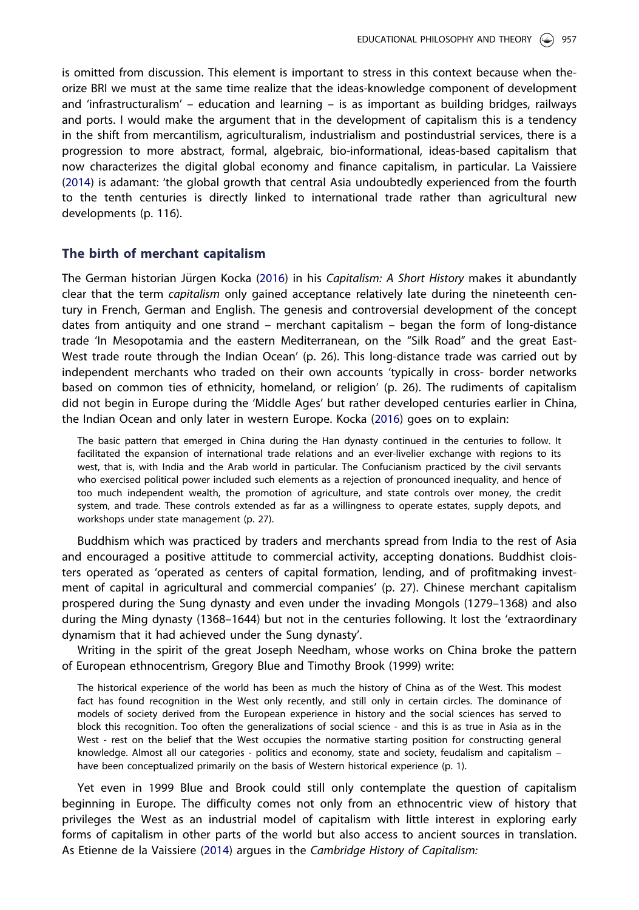<span id="page-2-0"></span>is omitted from discussion. This element is important to stress in this context because when theorize BRI we must at the same time realize that the ideas-knowledge component of development and 'infrastructuralism' – education and learning – is as important as building bridges, railways and ports. I would make the argument that in the development of capitalism this is a tendency in the shift from mercantilism, agriculturalism, industrialism and postindustrial services, there is a progression to more abstract, formal, algebraic, bio-informational, ideas-based capitalism that now characterizes the digital global economy and finance capitalism, in particular. La Vaissiere ([2014](#page-6-0)) is adamant: 'the global growth that central Asia undoubtedly experienced from the fourth to the tenth centuries is directly linked to international trade rather than agricultural new developments (p. 116).

#### The birth of merchant capitalism

The German historian Jürgen Kocka ([2016\)](#page-5-0) in his Capitalism: A Short History makes it abundantly clear that the term *capitalism* only gained acceptance relatively late during the nineteenth century in French, German and English. The genesis and controversial development of the concept dates from antiquity and one strand – merchant capitalism – began the form of long-distance trade 'In Mesopotamia and the eastern Mediterranean, on the "Silk Road" and the great East-West trade route through the Indian Ocean' (p. 26). This long-distance trade was carried out by independent merchants who traded on their own accounts 'typically in cross- border networks based on common ties of ethnicity, homeland, or religion' (p. 26). The rudiments of capitalism did not begin in Europe during the 'Middle Ages' but rather developed centuries earlier in China, the Indian Ocean and only later in western Europe. Kocka [\(2016\)](#page-5-0) goes on to explain:

The basic pattern that emerged in China during the Han dynasty continued in the centuries to follow. It facilitated the expansion of international trade relations and an ever-livelier exchange with regions to its west, that is, with India and the Arab world in particular. The Confucianism practiced by the civil servants who exercised political power included such elements as a rejection of pronounced inequality, and hence of too much independent wealth, the promotion of agriculture, and state controls over money, the credit system, and trade. These controls extended as far as a willingness to operate estates, supply depots, and workshops under state management (p. 27).

Buddhism which was practiced by traders and merchants spread from India to the rest of Asia and encouraged a positive attitude to commercial activity, accepting donations. Buddhist cloisters operated as 'operated as centers of capital formation, lending, and of profitmaking investment of capital in agricultural and commercial companies' (p. 27). Chinese merchant capitalism prospered during the Sung dynasty and even under the invading Mongols (1279–1368) and also during the Ming dynasty (1368–1644) but not in the centuries following. It lost the 'extraordinary dynamism that it had achieved under the Sung dynasty'.

Writing in the spirit of the great Joseph Needham, whose works on China broke the pattern of European ethnocentrism, Gregory Blue and Timothy Brook (1999) write:

The historical experience of the world has been as much the history of China as of the West. This modest fact has found recognition in the West only recently, and still only in certain circles. The dominance of models of society derived from the European experience in history and the social sciences has served to block this recognition. Too often the generalizations of social science - and this is as true in Asia as in the West - rest on the belief that the West occupies the normative starting position for constructing general knowledge. Almost all our categories - politics and economy, state and society, feudalism and capitalism have been conceptualized primarily on the basis of Western historical experience (p. 1).

Yet even in 1999 Blue and Brook could still only contemplate the question of capitalism beginning in Europe. The difficulty comes not only from an ethnocentric view of history that privileges the West as an industrial model of capitalism with little interest in exploring early forms of capitalism in other parts of the world but also access to ancient sources in translation. As Etienne de la Vaissiere [\(2014\)](#page-6-0) argues in the Cambridge History of Capitalism: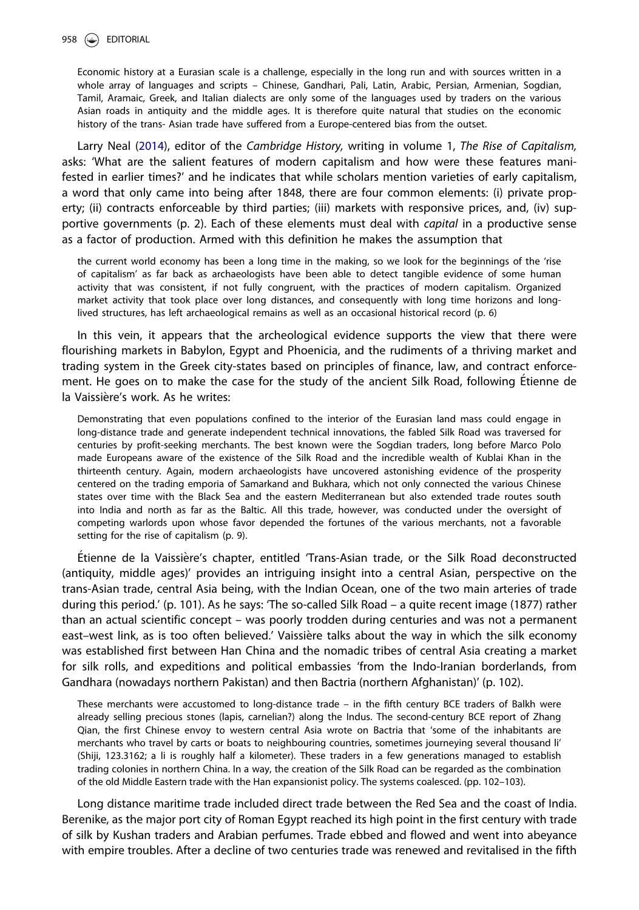<span id="page-3-0"></span>Economic history at a Eurasian scale is a challenge, especially in the long run and with sources written in a whole array of languages and scripts - Chinese, Gandhari, Pali, Latin, Arabic, Persian, Armenian, Sogdian, Tamil, Aramaic, Greek, and Italian dialects are only some of the languages used by traders on the various Asian roads in antiquity and the middle ages. It is therefore quite natural that studies on the economic history of the trans- Asian trade have suffered from a Europe-centered bias from the outset.

Larry Neal [\(2014\)](#page-5-0), editor of the Cambridge History, writing in volume 1, The Rise of Capitalism, asks: 'What are the salient features of modern capitalism and how were these features manifested in earlier times?' and he indicates that while scholars mention varieties of early capitalism, a word that only came into being after 1848, there are four common elements: (i) private property; (ii) contracts enforceable by third parties; (iii) markets with responsive prices, and, (iv) supportive governments (p. 2). Each of these elements must deal with capital in a productive sense as a factor of production. Armed with this definition he makes the assumption that

the current world economy has been a long time in the making, so we look for the beginnings of the 'rise of capitalism' as far back as archaeologists have been able to detect tangible evidence of some human activity that was consistent, if not fully congruent, with the practices of modern capitalism. Organized market activity that took place over long distances, and consequently with long time horizons and longlived structures, has left archaeological remains as well as an occasional historical record (p. 6)

In this vein, it appears that the archeological evidence supports the view that there were flourishing markets in Babylon, Egypt and Phoenicia, and the rudiments of a thriving market and trading system in the Greek city-states based on principles of finance, law, and contract enforcement. He goes on to make the case for the study of the ancient Silk Road, following Étienne de la Vaissière's work. As he writes:

Demonstrating that even populations confined to the interior of the Eurasian land mass could engage in long-distance trade and generate independent technical innovations, the fabled Silk Road was traversed for centuries by profit-seeking merchants. The best known were the Sogdian traders, long before Marco Polo made Europeans aware of the existence of the Silk Road and the incredible wealth of Kublai Khan in the thirteenth century. Again, modern archaeologists have uncovered astonishing evidence of the prosperity centered on the trading emporia of Samarkand and Bukhara, which not only connected the various Chinese states over time with the Black Sea and the eastern Mediterranean but also extended trade routes south into India and north as far as the Baltic. All this trade, however, was conducted under the oversight of competing warlords upon whose favor depended the fortunes of the various merchants, not a favorable setting for the rise of capitalism (p. 9).

-Etienne de la Vaissi ere's chapter, entitled 'Trans-Asian trade, or the Silk Road deconstructed (antiquity, middle ages)' provides an intriguing insight into a central Asian, perspective on the trans-Asian trade, central Asia being, with the Indian Ocean, one of the two main arteries of trade during this period.' (p. 101). As he says: 'The so-called Silk Road – a quite recent image (1877) rather than an actual scientific concept – was poorly trodden during centuries and was not a permanent east-west link, as is too often believed.' Vaissière talks about the way in which the silk economy was established first between Han China and the nomadic tribes of central Asia creating a market for silk rolls, and expeditions and political embassies 'from the Indo-Iranian borderlands, from Gandhara (nowadays northern Pakistan) and then Bactria (northern Afghanistan)' (p. 102).

These merchants were accustomed to long-distance trade – in the fifth century BCE traders of Balkh were already selling precious stones (lapis, carnelian?) along the Indus. The second-century BCE report of Zhang Qian, the first Chinese envoy to western central Asia wrote on Bactria that 'some of the inhabitants are merchants who travel by carts or boats to neighbouring countries, sometimes journeying several thousand li' (Shiji, 123.3162; a li is roughly half a kilometer). These traders in a few generations managed to establish trading colonies in northern China. In a way, the creation of the Silk Road can be regarded as the combination of the old Middle Eastern trade with the Han expansionist policy. The systems coalesced. (pp. 102–103).

Long distance maritime trade included direct trade between the Red Sea and the coast of India. Berenike, as the major port city of Roman Egypt reached its high point in the first century with trade of silk by Kushan traders and Arabian perfumes. Trade ebbed and flowed and went into abeyance with empire troubles. After a decline of two centuries trade was renewed and revitalised in the fifth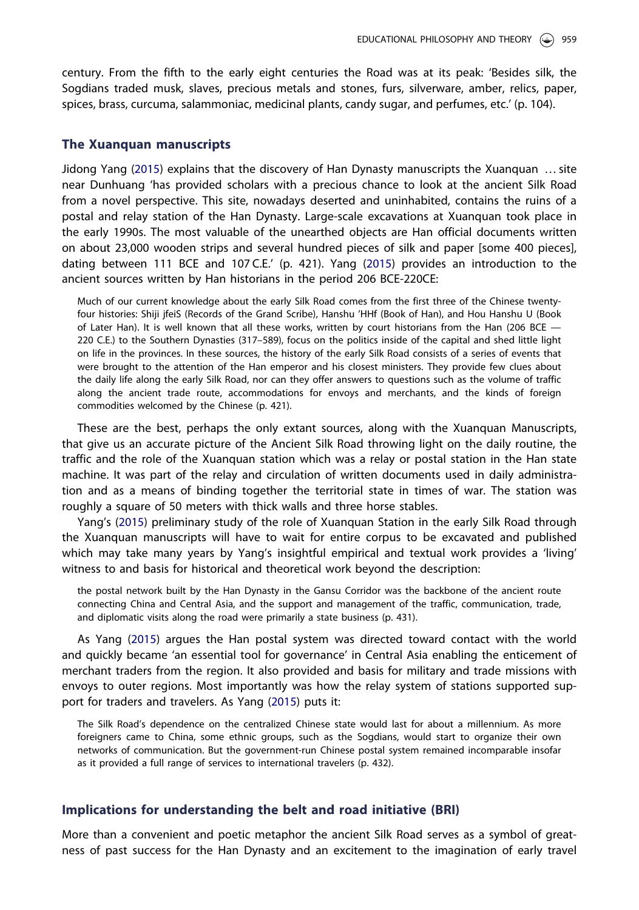<span id="page-4-0"></span>century. From the fifth to the early eight centuries the Road was at its peak: 'Besides silk, the Sogdians traded musk, slaves, precious metals and stones, furs, silverware, amber, relics, paper, spices, brass, curcuma, salammoniac, medicinal plants, candy sugar, and perfumes, etc.' (p. 104).

#### The Xuanquan manuscripts

Jidong Yang ([2015](#page-6-0)) explains that the discovery of Han Dynasty manuscripts the Xuanquan … site near Dunhuang 'has provided scholars with a precious chance to look at the ancient Silk Road from a novel perspective. This site, nowadays deserted and uninhabited, contains the ruins of a postal and relay station of the Han Dynasty. Large-scale excavations at Xuanquan took place in the early 1990s. The most valuable of the unearthed objects are Han official documents written on about 23,000 wooden strips and several hundred pieces of silk and paper [some 400 pieces], dating between 111 BCE and 107 C.E.' (p. 421). Yang [\(2015\)](#page-6-0) provides an introduction to the ancient sources written by Han historians in the period 206 BCE-220CE:

Much of our current knowledge about the early Silk Road comes from the first three of the Chinese twentyfour histories: Shiji jfeiS (Records of the Grand Scribe), Hanshu 'HHf (Book of Han), and Hou Hanshu U (Book of Later Han). It is well known that all these works, written by court historians from the Han (206 BCE -220 C.E.) to the Southern Dynasties (317–589), focus on the politics inside of the capital and shed little light on life in the provinces. In these sources, the history of the early Silk Road consists of a series of events that were brought to the attention of the Han emperor and his closest ministers. They provide few clues about the daily life along the early Silk Road, nor can they offer answers to questions such as the volume of traffic along the ancient trade route, accommodations for envoys and merchants, and the kinds of foreign commodities welcomed by the Chinese (p. 421).

These are the best, perhaps the only extant sources, along with the Xuanquan Manuscripts, that give us an accurate picture of the Ancient Silk Road throwing light on the daily routine, the traffic and the role of the Xuanquan station which was a relay or postal station in the Han state machine. It was part of the relay and circulation of written documents used in daily administration and as a means of binding together the territorial state in times of war. The station was roughly a square of 50 meters with thick walls and three horse stables.

Yang's ([2015](#page-6-0)) preliminary study of the role of Xuanquan Station in the early Silk Road through the Xuanquan manuscripts will have to wait for entire corpus to be excavated and published which may take many years by Yang's insightful empirical and textual work provides a 'living' witness to and basis for historical and theoretical work beyond the description:

the postal network built by the Han Dynasty in the Gansu Corridor was the backbone of the ancient route connecting China and Central Asia, and the support and management of the traffic, communication, trade, and diplomatic visits along the road were primarily a state business (p. 431).

As Yang [\(2015\)](#page-6-0) argues the Han postal system was directed toward contact with the world and quickly became 'an essential tool for governance' in Central Asia enabling the enticement of merchant traders from the region. It also provided and basis for military and trade missions with envoys to outer regions. Most importantly was how the relay system of stations supported support for traders and travelers. As Yang ([2015](#page-6-0)) puts it:

The Silk Road's dependence on the centralized Chinese state would last for about a millennium. As more foreigners came to China, some ethnic groups, such as the Sogdians, would start to organize their own networks of communication. But the government-run Chinese postal system remained incomparable insofar as it provided a full range of services to international travelers (p. 432).

#### Implications for understanding the belt and road initiative (BRI)

More than a convenient and poetic metaphor the ancient Silk Road serves as a symbol of greatness of past success for the Han Dynasty and an excitement to the imagination of early travel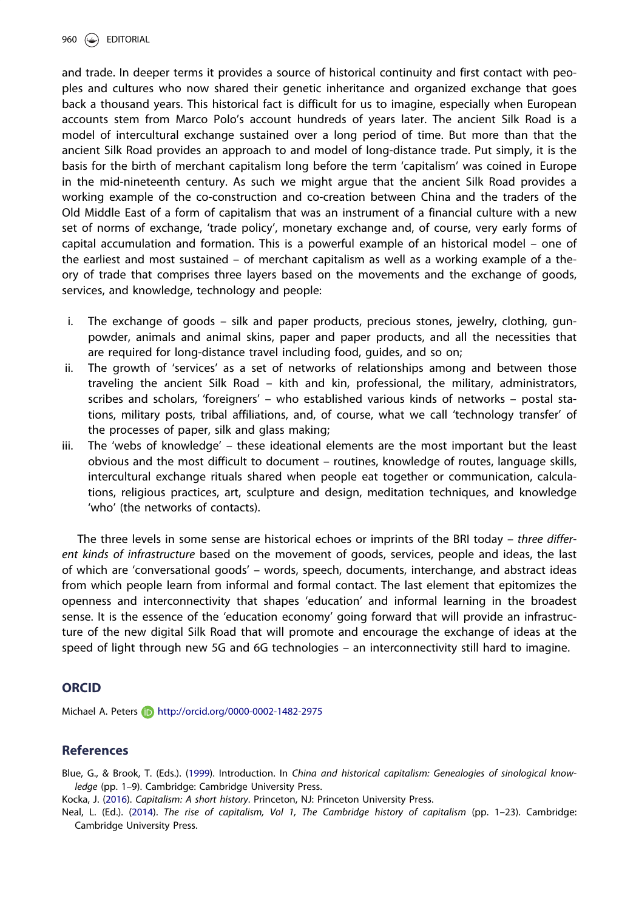<span id="page-5-0"></span>960 (Se) EDITORIAL

and trade. In deeper terms it provides a source of historical continuity and first contact with peoples and cultures who now shared their genetic inheritance and organized exchange that goes back a thousand years. This historical fact is difficult for us to imagine, especially when European accounts stem from Marco Polo's account hundreds of years later. The ancient Silk Road is a model of intercultural exchange sustained over a long period of time. But more than that the ancient Silk Road provides an approach to and model of long-distance trade. Put simply, it is the basis for the birth of merchant capitalism long before the term 'capitalism' was coined in Europe in the mid-nineteenth century. As such we might argue that the ancient Silk Road provides a working example of the co-construction and co-creation between China and the traders of the Old Middle East of a form of capitalism that was an instrument of a financial culture with a new set of norms of exchange, 'trade policy', monetary exchange and, of course, very early forms of capital accumulation and formation. This is a powerful example of an historical model – one of the earliest and most sustained – of merchant capitalism as well as a working example of a theory of trade that comprises three layers based on the movements and the exchange of goods, services, and knowledge, technology and people:

- i. The exchange of goods silk and paper products, precious stones, jewelry, clothing, gunpowder, animals and animal skins, paper and paper products, and all the necessities that are required for long-distance travel including food, guides, and so on;
- ii. The growth of 'services' as a set of networks of relationships among and between those traveling the ancient Silk Road – kith and kin, professional, the military, administrators, scribes and scholars, 'foreigners' – who established various kinds of networks – postal stations, military posts, tribal affiliations, and, of course, what we call 'technology transfer' of the processes of paper, silk and glass making;
- iii. The 'webs of knowledge' these ideational elements are the most important but the least obvious and the most difficult to document – routines, knowledge of routes, language skills, intercultural exchange rituals shared when people eat together or communication, calculations, religious practices, art, sculpture and design, meditation techniques, and knowledge 'who' (the networks of contacts).

The three levels in some sense are historical echoes or imprints of the BRI today – three different kinds of infrastructure based on the movement of goods, services, people and ideas, the last of which are 'conversational goods' – words, speech, documents, interchange, and abstract ideas from which people learn from informal and formal contact. The last element that epitomizes the openness and interconnectivity that shapes 'education' and informal learning in the broadest sense. It is the essence of the 'education economy' going forward that will provide an infrastructure of the new digital Silk Road that will promote and encourage the exchange of ideas at the speed of light through new 5G and 6G technologies – an interconnectivity still hard to imagine.

## **ORCID**

Michael A. Peters **http://orcid.org/0000-0002-1482-2975** 

### References

Blue, G., & Brook, T. (Eds.). ([1999\)](#page-2-0). Introduction. In China and historical capitalism: Genealogies of sinological knowledge (pp. 1–9). Cambridge: Cambridge University Press.

Kocka, J. ([2016](#page-3-0)). Capitalism: A short history. Princeton, NJ: Princeton University Press.

Neal, L. (Ed.). (2014). The rise of capitalism, Vol 1, The Cambridge history of capitalism (pp. 1–23). Cambridge: Cambridge University Press.